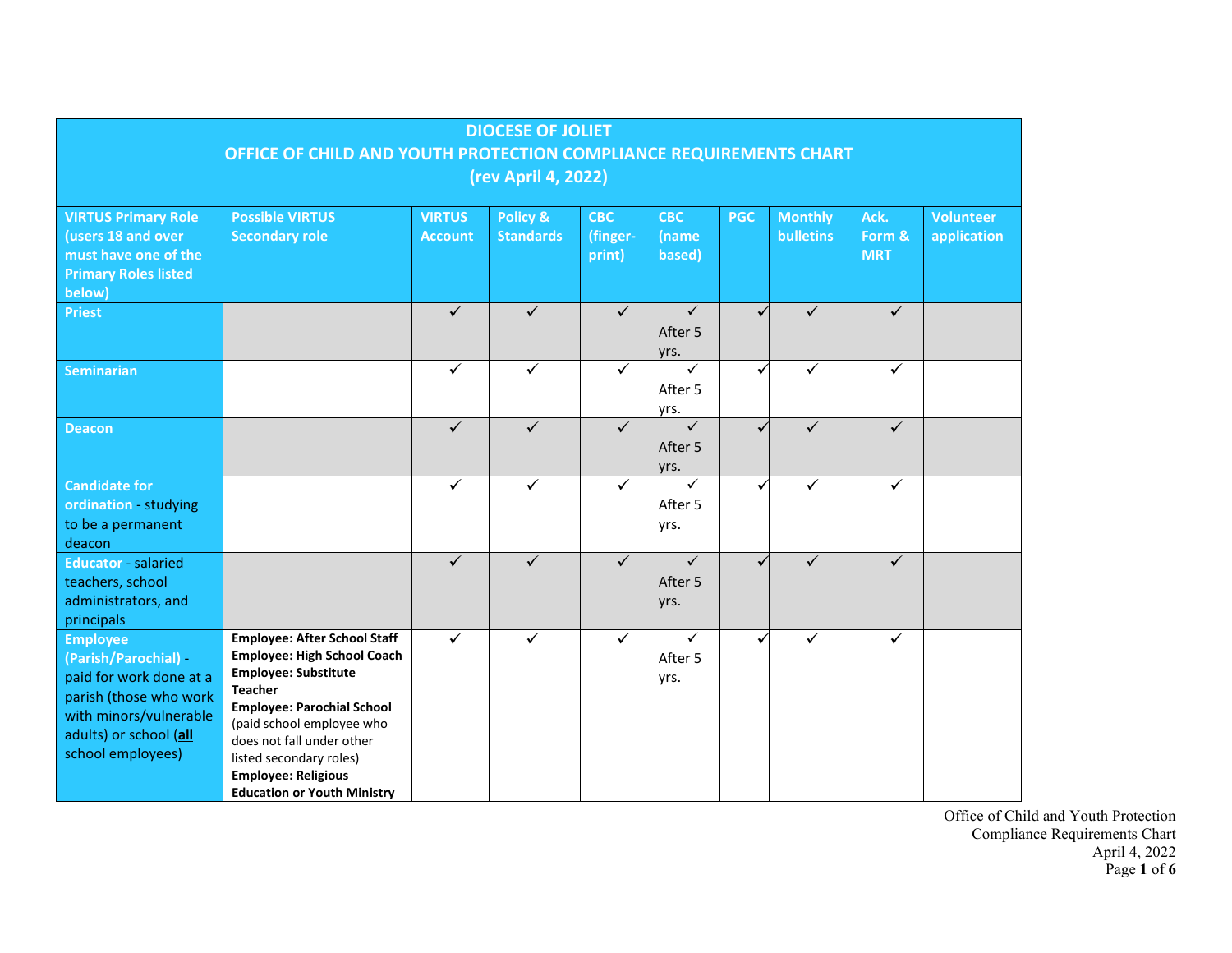| <b>DIOCESE OF JOLIET</b>                                                                                                                                              |                                                                                                                                                                                                                                                                                                                          |                                 |                              |                                  |                                 |              |                             |                              |                                 |
|-----------------------------------------------------------------------------------------------------------------------------------------------------------------------|--------------------------------------------------------------------------------------------------------------------------------------------------------------------------------------------------------------------------------------------------------------------------------------------------------------------------|---------------------------------|------------------------------|----------------------------------|---------------------------------|--------------|-----------------------------|------------------------------|---------------------------------|
| OFFICE OF CHILD AND YOUTH PROTECTION COMPLIANCE REQUIREMENTS CHART                                                                                                    |                                                                                                                                                                                                                                                                                                                          |                                 |                              |                                  |                                 |              |                             |                              |                                 |
| (rev April 4, 2022)                                                                                                                                                   |                                                                                                                                                                                                                                                                                                                          |                                 |                              |                                  |                                 |              |                             |                              |                                 |
| <b>VIRTUS Primary Role</b><br>(users 18 and over<br>must have one of the<br><b>Primary Roles listed</b><br>below)                                                     | <b>Possible VIRTUS</b><br><b>Secondary role</b>                                                                                                                                                                                                                                                                          | <b>VIRTUS</b><br><b>Account</b> | Policy &<br><b>Standards</b> | <b>CBC</b><br>(finger-<br>print) | <b>CBC</b><br>(name<br>based)   | <b>PGC</b>   | <b>Monthly</b><br>bulletins | Ack.<br>Form &<br><b>MRT</b> | <b>Volunteer</b><br>application |
| <b>Priest</b>                                                                                                                                                         |                                                                                                                                                                                                                                                                                                                          | $\checkmark$                    | ✓                            | ✓                                | $\checkmark$<br>After 5<br>yrs. | $\checkmark$ | ✓                           | ✓                            |                                 |
| <b>Seminarian</b>                                                                                                                                                     |                                                                                                                                                                                                                                                                                                                          | $\checkmark$                    | ✓                            | $\checkmark$                     | ✓<br>After 5<br>yrs.            | ✓            | ✓                           | ✓                            |                                 |
| <b>Deacon</b>                                                                                                                                                         |                                                                                                                                                                                                                                                                                                                          | $\checkmark$                    | $\checkmark$                 | $\checkmark$                     | $\checkmark$<br>After 5<br>yrs. | $\checkmark$ | $\checkmark$                | $\checkmark$                 |                                 |
| <b>Candidate for</b><br>ordination - studying<br>to be a permanent<br>deacon                                                                                          |                                                                                                                                                                                                                                                                                                                          | ✓                               | ✓                            | ✓                                | ✓<br>After 5<br>yrs.            | $\checkmark$ | ✓                           | ✓                            |                                 |
| <b>Educator - salaried</b><br>teachers, school<br>administrators, and<br>principals                                                                                   |                                                                                                                                                                                                                                                                                                                          | $\checkmark$                    | $\checkmark$                 | $\checkmark$                     | $\checkmark$<br>After 5<br>yrs. | $\checkmark$ | $\checkmark$                | $\checkmark$                 |                                 |
| <b>Employee</b><br>(Parish/Parochial) -<br>paid for work done at a<br>parish (those who work<br>with minors/vulnerable<br>adults) or school (all<br>school employees) | <b>Employee: After School Staff</b><br><b>Employee: High School Coach</b><br><b>Employee: Substitute</b><br><b>Teacher</b><br><b>Employee: Parochial School</b><br>(paid school employee who<br>does not fall under other<br>listed secondary roles)<br><b>Employee: Religious</b><br><b>Education or Youth Ministry</b> | ✓                               | ✓                            | $\checkmark$                     | ✓<br>After 5<br>yrs.            | ✓            | ✓                           | ✓                            |                                 |

Office of Child and Youth Protection Compliance Requirements Chart April 4, 2022 Page **1** of **6**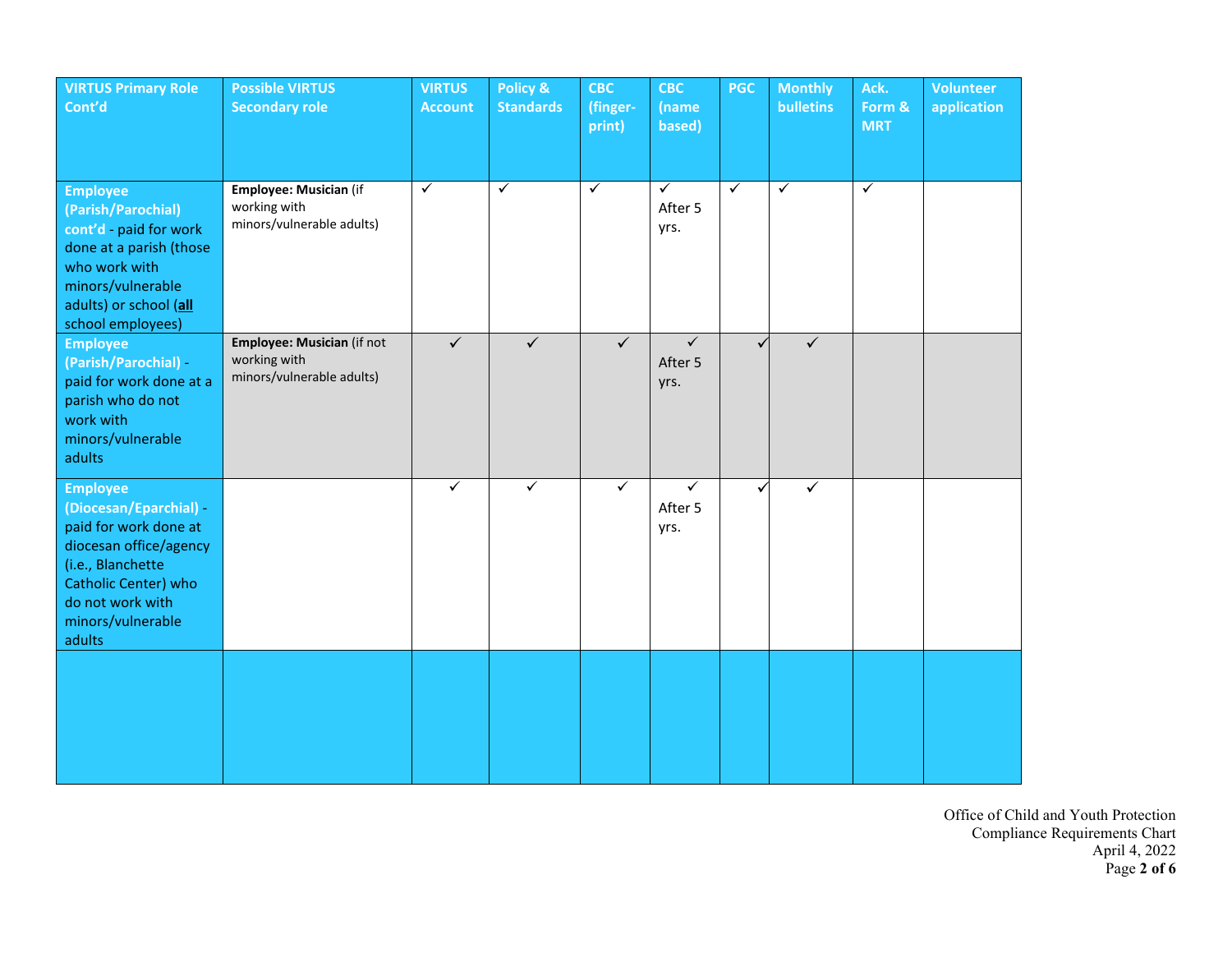| <b>VIRTUS Primary Role</b><br>Cont'd                                                                                                                                                         | <b>Possible VIRTUS</b><br><b>Secondary role</b>                                | <b>VIRTUS</b><br><b>Account</b> | Policy &<br><b>Standards</b> | <b>CBC</b><br>(finger-<br>print) | <b>CBC</b><br>(name<br>based)   | <b>PGC</b>   | <b>Monthly</b><br><b>bulletins</b> | Ack.<br>Form &<br><b>MRT</b> | <b>Volunteer</b><br>application |
|----------------------------------------------------------------------------------------------------------------------------------------------------------------------------------------------|--------------------------------------------------------------------------------|---------------------------------|------------------------------|----------------------------------|---------------------------------|--------------|------------------------------------|------------------------------|---------------------------------|
| <b>Employee</b><br>(Parish/Parochial)<br>cont'd - paid for work<br>done at a parish (those<br>who work with<br>minors/vulnerable<br>adults) or school (all<br>school employees)              | Employee: Musician (if<br>working with<br>minors/vulnerable adults)            | $\checkmark$                    | $\checkmark$                 | $\checkmark$                     | $\checkmark$<br>After 5<br>yrs. | $\checkmark$ | ✓                                  | $\checkmark$                 |                                 |
| <b>Employee</b><br>(Parish/Parochial) -<br>paid for work done at a<br>parish who do not<br>work with<br>minors/vulnerable<br>adults                                                          | <b>Employee: Musician (if not</b><br>working with<br>minors/vulnerable adults) | $\checkmark$                    | ✓                            | $\checkmark$                     | $\checkmark$<br>After 5<br>yrs. | $\checkmark$ | $\checkmark$                       |                              |                                 |
| <b>Employee</b><br>(Diocesan/Eparchial) -<br>paid for work done at<br>diocesan office/agency<br>(i.e., Blanchette<br>Catholic Center) who<br>do not work with<br>minors/vulnerable<br>adults |                                                                                | $\checkmark$                    | ✓                            | $\checkmark$                     | $\checkmark$<br>After 5<br>yrs. |              | $\checkmark$                       |                              |                                 |
|                                                                                                                                                                                              |                                                                                |                                 |                              |                                  |                                 |              |                                    |                              |                                 |

Office of Child and Youth Protection Compliance Requirements Chart April 4, 2022 Page **2 of 6**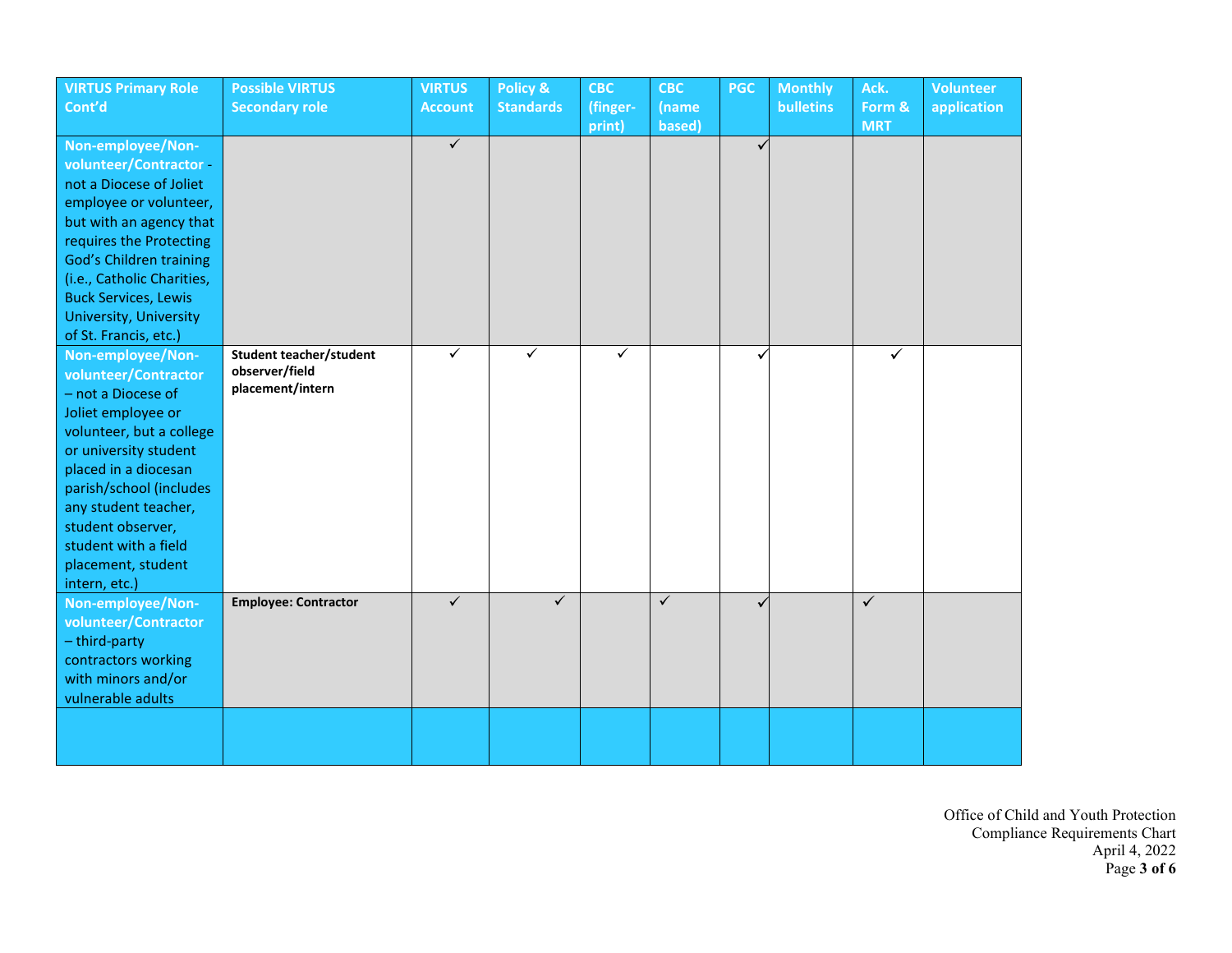| <b>VIRTUS Primary Role</b>    | <b>Possible VIRTUS</b>         | <b>VIRTUS</b>  | Policy &         | <b>CBC</b>   | <b>CBC</b> | <b>PGC</b>   | <b>Monthly</b>   | Ack.       | <b>Volunteer</b> |
|-------------------------------|--------------------------------|----------------|------------------|--------------|------------|--------------|------------------|------------|------------------|
| Cont'd                        | <b>Secondary role</b>          | <b>Account</b> | <b>Standards</b> | (finger-     | (name      |              | <b>bulletins</b> | Form &     | application      |
|                               |                                |                |                  | print)       | based)     |              |                  | <b>MRT</b> |                  |
| Non-employee/Non-             |                                | $\checkmark$   |                  |              |            | $\mathbf{v}$ |                  |            |                  |
| volunteer/Contractor-         |                                |                |                  |              |            |              |                  |            |                  |
| not a Diocese of Joliet       |                                |                |                  |              |            |              |                  |            |                  |
| employee or volunteer,        |                                |                |                  |              |            |              |                  |            |                  |
| but with an agency that       |                                |                |                  |              |            |              |                  |            |                  |
| requires the Protecting       |                                |                |                  |              |            |              |                  |            |                  |
| God's Children training       |                                |                |                  |              |            |              |                  |            |                  |
| (i.e., Catholic Charities,    |                                |                |                  |              |            |              |                  |            |                  |
| <b>Buck Services, Lewis</b>   |                                |                |                  |              |            |              |                  |            |                  |
| <b>University, University</b> |                                |                |                  |              |            |              |                  |            |                  |
| of St. Francis, etc.)         |                                |                |                  |              |            |              |                  |            |                  |
| Non-employee/Non-             | <b>Student teacher/student</b> | $\checkmark$   | ✓                | $\checkmark$ |            |              |                  | ✓          |                  |
| volunteer/Contractor          | observer/field                 |                |                  |              |            |              |                  |            |                  |
| - not a Diocese of            | placement/intern               |                |                  |              |            |              |                  |            |                  |
| Joliet employee or            |                                |                |                  |              |            |              |                  |            |                  |
| volunteer, but a college      |                                |                |                  |              |            |              |                  |            |                  |
| or university student         |                                |                |                  |              |            |              |                  |            |                  |
| placed in a diocesan          |                                |                |                  |              |            |              |                  |            |                  |
| parish/school (includes       |                                |                |                  |              |            |              |                  |            |                  |
| any student teacher,          |                                |                |                  |              |            |              |                  |            |                  |
| student observer,             |                                |                |                  |              |            |              |                  |            |                  |
| student with a field          |                                |                |                  |              |            |              |                  |            |                  |
| placement, student            |                                |                |                  |              |            |              |                  |            |                  |
| intern, etc.)                 |                                |                |                  |              |            |              |                  |            |                  |
| Non-employee/Non-             | <b>Employee: Contractor</b>    | $\checkmark$   | $\checkmark$     |              | $\sqrt{}$  |              |                  | $\sqrt{}$  |                  |
| volunteer/Contractor          |                                |                |                  |              |            |              |                  |            |                  |
| - third-party                 |                                |                |                  |              |            |              |                  |            |                  |
| contractors working           |                                |                |                  |              |            |              |                  |            |                  |
| with minors and/or            |                                |                |                  |              |            |              |                  |            |                  |
| vulnerable adults             |                                |                |                  |              |            |              |                  |            |                  |
|                               |                                |                |                  |              |            |              |                  |            |                  |
|                               |                                |                |                  |              |            |              |                  |            |                  |
|                               |                                |                |                  |              |            |              |                  |            |                  |

Office of Child and Youth Protection Compliance Requirements Chart April 4, 2022 Page **3 of 6**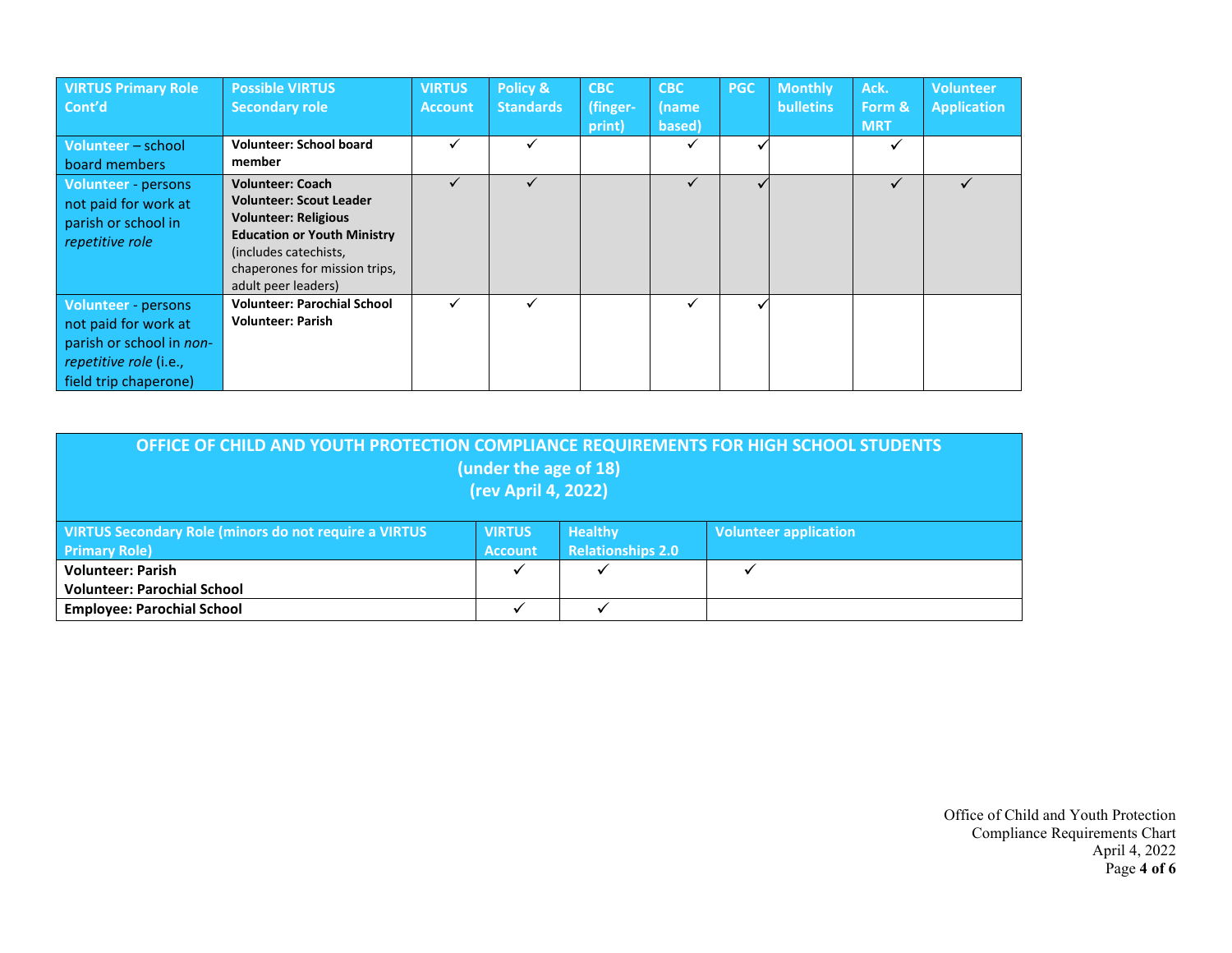| <b>VIRTUS Primary Role</b><br>Cont'd                                                                                                     | <b>Possible VIRTUS</b><br><b>Secondary role</b>                                                                                                                                                                 | <b>VIRTUS</b><br><b>Account</b> | Policy &<br><b>Standards</b> | <b>CBC</b><br>(finger-<br>print) | <b>CBC</b><br>(name<br>based) | <b>PGC</b> | <b>Monthly</b><br><b>bulletins</b> | Ack.<br>Form &<br><b>MRT</b> | <b>Volunteer</b><br><b>Application</b> |
|------------------------------------------------------------------------------------------------------------------------------------------|-----------------------------------------------------------------------------------------------------------------------------------------------------------------------------------------------------------------|---------------------------------|------------------------------|----------------------------------|-------------------------------|------------|------------------------------------|------------------------------|----------------------------------------|
| Volunteer - school<br>board members                                                                                                      | <b>Volunteer: School board</b><br>member                                                                                                                                                                        | ✓                               |                              |                                  | ✓                             |            |                                    |                              |                                        |
| Volunteer persons<br>not paid for work at<br>parish or school in<br>repetitive role                                                      | <b>Volunteer: Coach</b><br><b>Volunteer: Scout Leader</b><br><b>Volunteer: Religious</b><br><b>Education or Youth Ministry</b><br>(includes catechists,<br>chaperones for mission trips,<br>adult peer leaders) |                                 |                              |                                  |                               |            |                                    |                              |                                        |
| <b>Volunteer - persons</b><br>not paid for work at<br>parish or school in non-<br><i>repetitive role</i> (i.e.,<br>field trip chaperone) | <b>Volunteer: Parochial School</b><br><b>Volunteer: Parish</b>                                                                                                                                                  | ✓                               |                              |                                  | ✓                             |            |                                    |                              |                                        |

| OFFICE OF CHILD AND YOUTH PROTECTION COMPLIANCE REQUIREMENTS FOR HIGH SCHOOL STUDENTS<br>(under the age of 18)<br>(rev April 4, 2022)                                                          |   |  |  |  |  |  |  |  |  |
|------------------------------------------------------------------------------------------------------------------------------------------------------------------------------------------------|---|--|--|--|--|--|--|--|--|
| VIRTUS Secondary Role (minors do not require a VIRTUS<br><b>VIRTUS</b><br><b>Healthy</b><br><b>Volunteer application</b><br><b>Relationships 2.0</b><br><b>Primary Role)</b><br><b>Account</b> |   |  |  |  |  |  |  |  |  |
| <b>Volunteer: Parish</b>                                                                                                                                                                       | ✓ |  |  |  |  |  |  |  |  |
| <b>Volunteer: Parochial School</b>                                                                                                                                                             |   |  |  |  |  |  |  |  |  |
| <b>Employee: Parochial School</b>                                                                                                                                                              |   |  |  |  |  |  |  |  |  |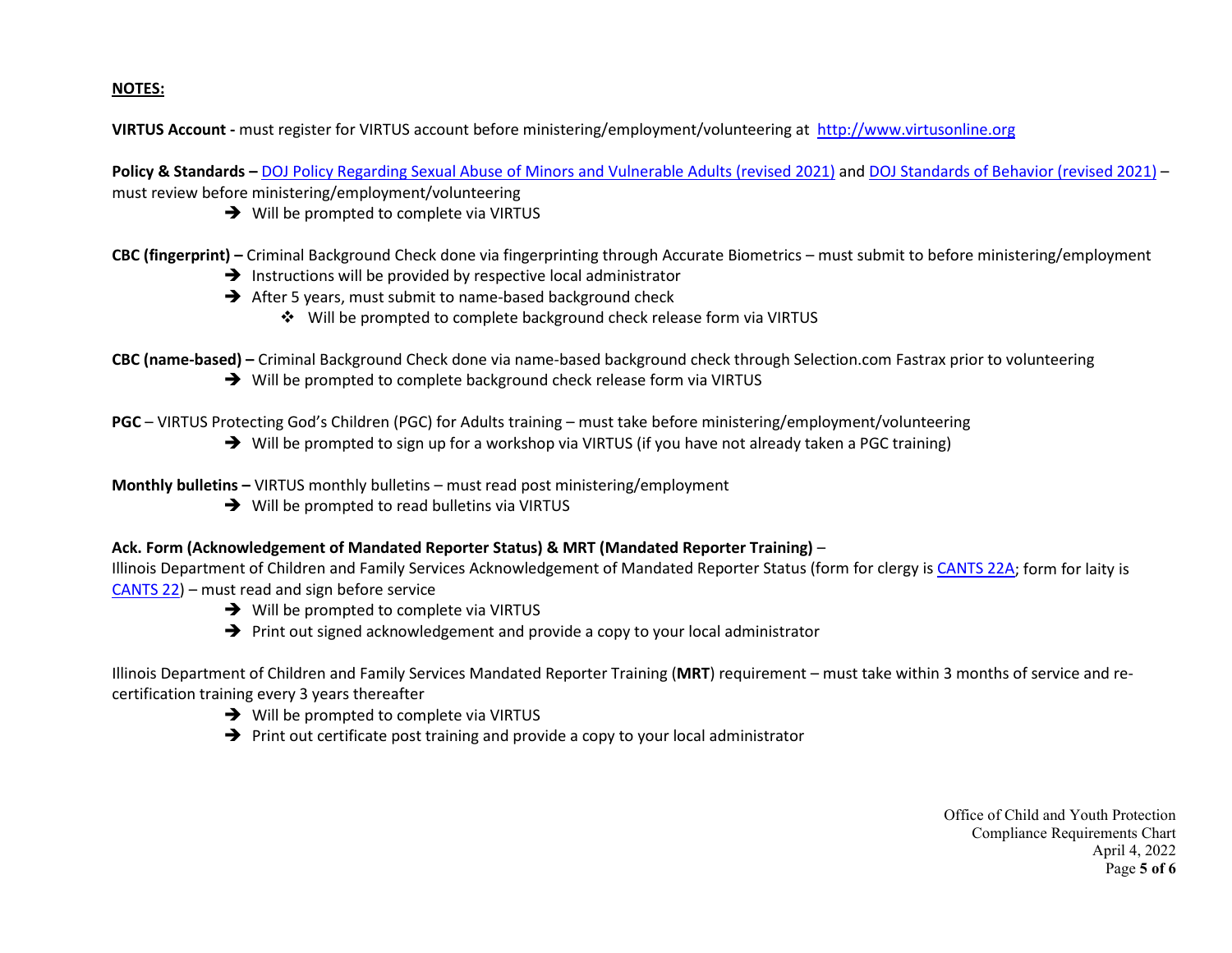## **NOTES:**

**VIRTUS Account -** must register for VIRTUS account before ministering/employment/volunteering at [http://www.virtusonline.org](http://www.virtusonline.org/)

**Policy & Standards –** DOJ [Policy Regarding Sexual Abuse of Minors](https://www.dioceseofjoliet.org/siteimages/chancerytribunal/OYCP/DOJ_Policy_Regarding_Sexual_Abuse_of_Minors_and_Vulnerable_Adults_7-15-2021.pdf) and Vulnerable Adults (revised 2021) and [DOJ Standards of Behavior](https://www.dioceseofjoliet.org/siteimages/chancerytribunal/OYCP/DOJ_Standards_of_Behavior_7-15-2021.pdf) (revised 2021) – must review before ministering/employment/volunteering

 $\rightarrow$  Will be prompted to complete via VIRTUS

**CBC (fingerprint) –** Criminal Background Check done via fingerprinting through Accurate Biometrics – must submit to before ministering/employment

- $\rightarrow$  Instructions will be provided by respective local administrator
- $\rightarrow$  After 5 years, must submit to name-based background check
	- Will be prompted to complete background check release form via VIRTUS

**CBC (name-based) –** Criminal Background Check done via name-based background check through Selection.com Fastrax prior to volunteering

→ Will be prompted to complete background check release form via VIRTUS

**PGC** – VIRTUS Protecting God's Children (PGC) for Adults training – must take before ministering/employment/volunteering

 $\rightarrow$  Will be prompted to sign up for a workshop via VIRTUS (if you have not already taken a PGC training)

**Monthly bulletins –** VIRTUS monthly bulletins – must read post ministering/employment

 $\rightarrow$  Will be prompted to read bulletins via VIRTUS

## **Ack. Form (Acknowledgement of Mandated Reporter Status) & MRT (Mandated Reporter Training)** –

Illinois Department of Children and Family Services Acknowledgement of Mandated Reporter Status (form for clergy i[s CANTS](https://www.roe21.org/wp-content/uploads/2020/05/Mandated-reporter-Form.pdf) 22A; form for laity is [CANTS 22\)](https://www2.illinois.gov/dcfs/aboutus/notices/Documents/CANTS_22_Acknowledgement_of_Mandated_Reporter_Status_(Fillable).pdf) – must read and sign before service

- $\rightarrow$  Will be prompted to complete via VIRTUS
- $\rightarrow$  Print out signed acknowledgement and provide a copy to your local administrator

Illinois Department of Children and Family Services Mandated Reporter Training (**MRT**) requirement – must take within 3 months of service and recertification training every 3 years thereafter

- $\rightarrow$  Will be prompted to complete via VIRTUS
- $\rightarrow$  Print out certificate post training and provide a copy to your local administrator

Office of Child and Youth Protection Compliance Requirements Chart April 4, 2022 Page **5 of 6**